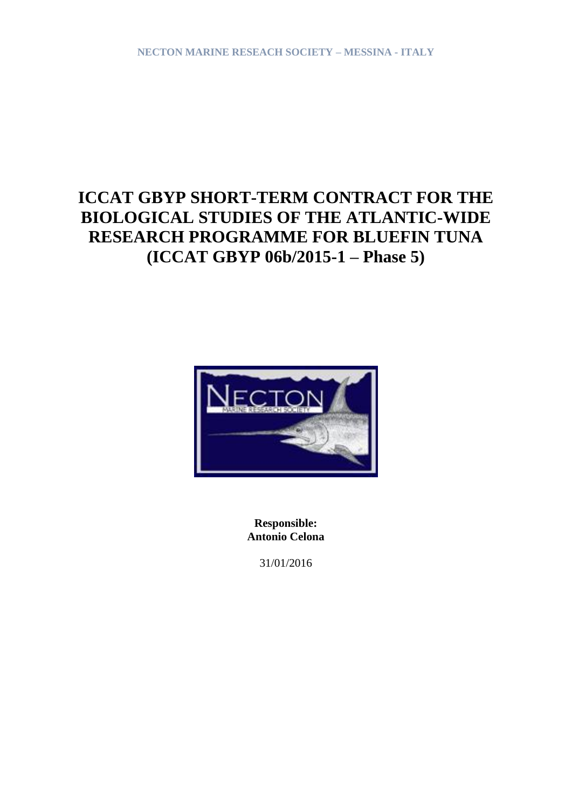# **ICCAT GBYP SHORT-TERM CONTRACT FOR THE BIOLOGICAL STUDIES OF THE ATLANTIC-WIDE RESEARCH PROGRAMME FOR BLUEFIN TUNA (ICCAT GBYP 06b/2015-1 – Phase 5)**



**Responsible: Antonio Celona**

31/01/2016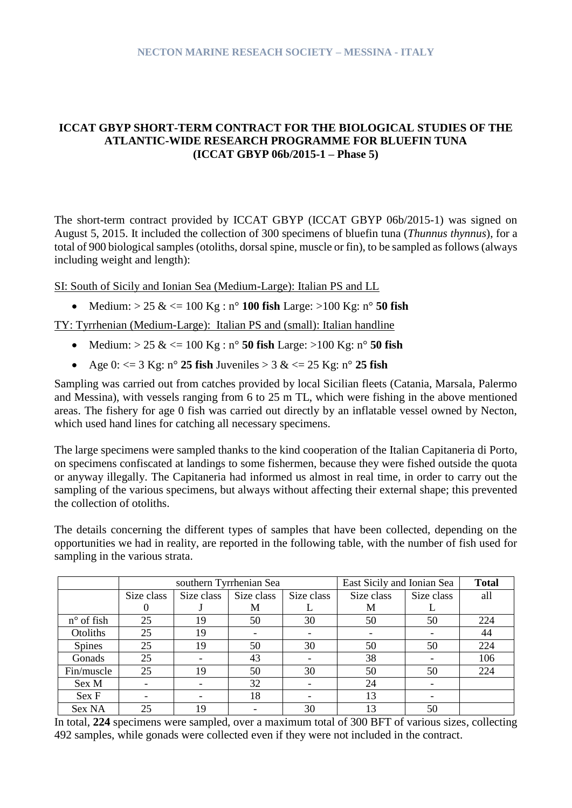## **ICCAT GBYP SHORT-TERM CONTRACT FOR THE BIOLOGICAL STUDIES OF THE ATLANTIC-WIDE RESEARCH PROGRAMME FOR BLUEFIN TUNA (ICCAT GBYP 06b/2015-1 – Phase 5)**

The short-term contract provided by ICCAT GBYP (ICCAT GBYP 06b/2015-1) was signed on August 5, 2015. It included the collection of 300 specimens of bluefin tuna (*Thunnus thynnus*), for a total of 900 biological samples (otoliths, dorsal spine, muscle or fin), to be sampled as follows (always including weight and length):

SI: South of Sicily and Ionian Sea (Medium-Large): Italian PS and LL

• Medium:  $> 25 \<= 100 \text{ Kg}: n^{\circ} 100 \text{ fish Large:} > 100 \text{ Kg}: n^{\circ} 50 \text{ fish}$ 

TY: Tyrrhenian (Medium-Large): Italian PS and (small): Italian handline

- Medium:  $> 25 \<= 100 \text{ Kg}: n^{\circ} 50 \text{ fish Large:} > 100 \text{ Kg}: n^{\circ} 50 \text{ fish}$
- Age  $0: \langle = 3 \text{ Kg: } n^{\circ} 25 \text{ fish}$  Juveniles  $> 3 \< = 25 \text{ Kg: } n^{\circ} 25 \text{ fish}$

Sampling was carried out from catches provided by local Sicilian fleets (Catania, Marsala, Palermo and Messina), with vessels ranging from 6 to 25 m TL, which were fishing in the above mentioned areas. The fishery for age 0 fish was carried out directly by an inflatable vessel owned by Necton, which used hand lines for catching all necessary specimens.

The large specimens were sampled thanks to the kind cooperation of the Italian Capitaneria di Porto, on specimens confiscated at landings to some fishermen, because they were fished outside the quota or anyway illegally. The Capitaneria had informed us almost in real time, in order to carry out the sampling of the various specimens, but always without affecting their external shape; this prevented the collection of otoliths.

The details concerning the different types of samples that have been collected, depending on the opportunities we had in reality, are reported in the following table, with the number of fish used for sampling in the various strata.

|                     |            |            | southern Tyrrhenian Sea  | East Sicily and Ionian Sea | <b>Total</b> |     |     |
|---------------------|------------|------------|--------------------------|----------------------------|--------------|-----|-----|
|                     | Size class | Size class | Size class               | Size class                 | Size class   | all |     |
|                     | 0          |            | М                        |                            | М            |     |     |
| $n^{\circ}$ of fish | 25         | 19         | 50                       | 30                         | 50           | 50  | 224 |
| Otoliths            | 25         | 19         | $\overline{\phantom{a}}$ |                            |              |     | 44  |
| Spines              | 25         | 19         | 50                       | 30                         | 50           | 50  | 224 |
| Gonads              | 25         |            | 43                       |                            | 38           |     | 106 |
| Fin/muscle          | 25         | 19         | 50                       | 30                         | 50           | 50  | 224 |
| Sex M               |            |            | 32                       |                            | 24           |     |     |
| Sex F               |            |            | 18                       |                            | 13           |     |     |
| Sex NA              | 25         | 19         |                          | 30                         | 13           | 50  |     |

In total, **224** specimens were sampled, over a maximum total of 300 BFT of various sizes, collecting 492 samples, while gonads were collected even if they were not included in the contract.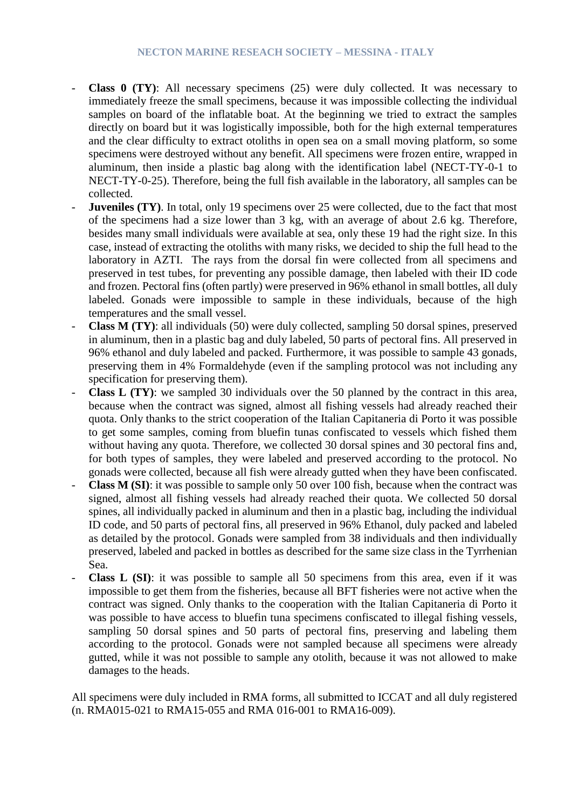- **Class 0** (TY): All necessary specimens (25) were duly collected. It was necessary to immediately freeze the small specimens, because it was impossible collecting the individual samples on board of the inflatable boat. At the beginning we tried to extract the samples directly on board but it was logistically impossible, both for the high external temperatures and the clear difficulty to extract otoliths in open sea on a small moving platform, so some specimens were destroyed without any benefit. All specimens were frozen entire, wrapped in aluminum, then inside a plastic bag along with the identification label (NECT-TY-0-1 to NECT-TY-0-25). Therefore, being the full fish available in the laboratory, all samples can be collected.
- **Juveniles** (TY). In total, only 19 specimens over 25 were collected, due to the fact that most of the specimens had a size lower than 3 kg, with an average of about 2.6 kg. Therefore, besides many small individuals were available at sea, only these 19 had the right size. In this case, instead of extracting the otoliths with many risks, we decided to ship the full head to the laboratory in AZTI. The rays from the dorsal fin were collected from all specimens and preserved in test tubes, for preventing any possible damage, then labeled with their ID code and frozen. Pectoral fins (often partly) were preserved in 96% ethanol in small bottles, all duly labeled. Gonads were impossible to sample in these individuals, because of the high temperatures and the small vessel.
- **Class M (TY)**: all individuals (50) were duly collected, sampling 50 dorsal spines, preserved in aluminum, then in a plastic bag and duly labeled, 50 parts of pectoral fins. All preserved in 96% ethanol and duly labeled and packed. Furthermore, it was possible to sample 43 gonads, preserving them in 4% Formaldehyde (even if the sampling protocol was not including any specification for preserving them).
- **Class L (TY)**: we sampled 30 individuals over the 50 planned by the contract in this area, because when the contract was signed, almost all fishing vessels had already reached their quota. Only thanks to the strict cooperation of the Italian Capitaneria di Porto it was possible to get some samples, coming from bluefin tunas confiscated to vessels which fished them without having any quota. Therefore, we collected 30 dorsal spines and 30 pectoral fins and, for both types of samples, they were labeled and preserved according to the protocol. No gonads were collected, because all fish were already gutted when they have been confiscated.
- **Class M (SI)**: it was possible to sample only 50 over 100 fish, because when the contract was signed, almost all fishing vessels had already reached their quota. We collected 50 dorsal spines, all individually packed in aluminum and then in a plastic bag, including the individual ID code, and 50 parts of pectoral fins, all preserved in 96% Ethanol, duly packed and labeled as detailed by the protocol. Gonads were sampled from 38 individuals and then individually preserved, labeled and packed in bottles as described for the same size class in the Tyrrhenian Sea.
- **Class L (SI)**: it was possible to sample all 50 specimens from this area, even if it was impossible to get them from the fisheries, because all BFT fisheries were not active when the contract was signed. Only thanks to the cooperation with the Italian Capitaneria di Porto it was possible to have access to bluefin tuna specimens confiscated to illegal fishing vessels, sampling 50 dorsal spines and 50 parts of pectoral fins, preserving and labeling them according to the protocol. Gonads were not sampled because all specimens were already gutted, while it was not possible to sample any otolith, because it was not allowed to make damages to the heads.

All specimens were duly included in RMA forms, all submitted to ICCAT and all duly registered (n. RMA015-021 to RMA15-055 and RMA 016-001 to RMA16-009).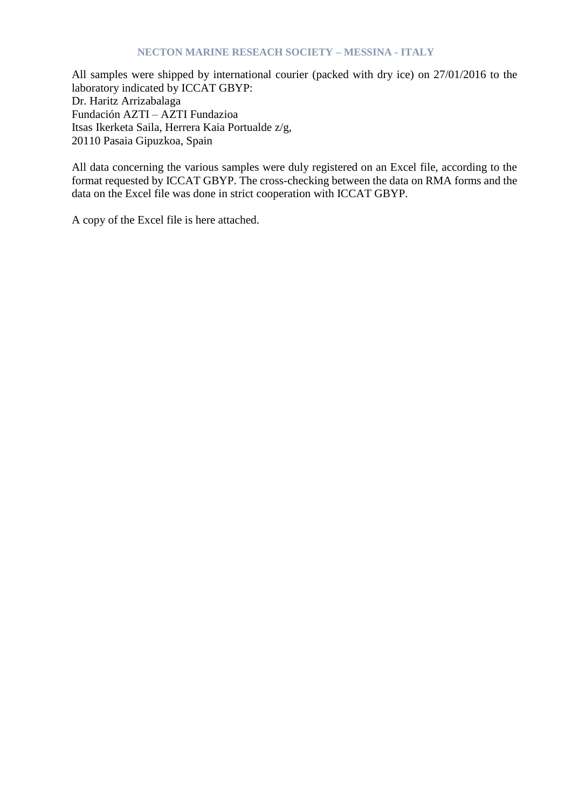All samples were shipped by international courier (packed with dry ice) on 27/01/2016 to the laboratory indicated by ICCAT GBYP: Dr. Haritz Arrizabalaga Fundación AZTI – AZTI Fundazioa Itsas Ikerketa Saila, Herrera Kaia Portualde z/g, 20110 Pasaia Gipuzkoa, Spain

All data concerning the various samples were duly registered on an Excel file, according to the format requested by ICCAT GBYP. The cross-checking between the data on RMA forms and the data on the Excel file was done in strict cooperation with ICCAT GBYP.

A copy of the Excel file is here attached.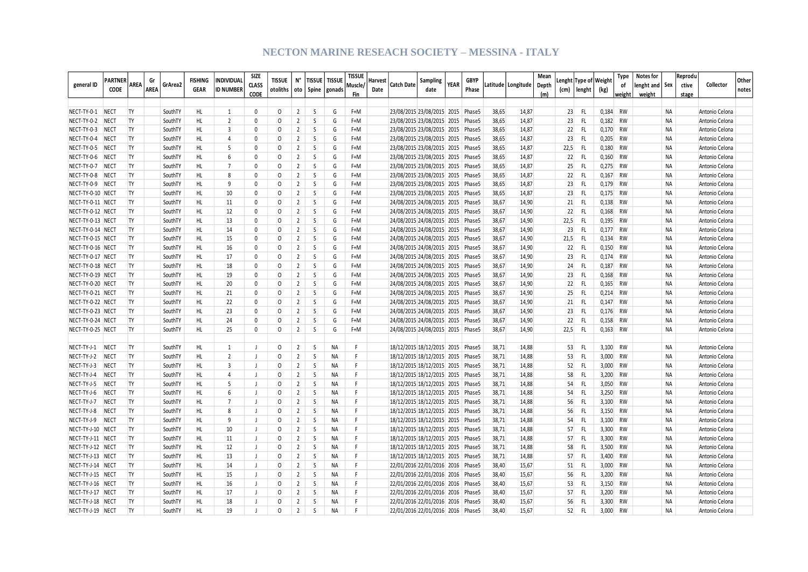| general ID                           | PARTNER<br><b>CODE</b> | Gr<br>AREA<br><b>AREA</b> | GrArea2            | <b>FISHING</b><br><b>GEAR</b> | <b>INDIVIDUAL</b><br><b>ID NUMBER</b> | SIZE<br><b>CLASS</b><br>CODE | <b>TISSUE</b><br>otoliths   oto   Spine   gonads | N°                               | <b>TISSUE</b>     | <b>TISSUE</b> | <b>TISSUE</b><br>Muscle/<br>Fin | Harvest<br>Date | Catch Date                                                             | <b>Sampling</b><br>date | <b>YEAR</b> | <b>GBYP</b><br>Phase |                | Latitude   Longitude | Mean<br>Depth<br>(m) |            | Lenght  Type of   Weight<br>(cm)   lenght | (kg)                | <b>Type</b><br>of<br>weight | Notes for<br>lenght and   Sex<br>weight |           | Reprodu<br>ctive<br>stage | Collector                        | Other<br>notes |
|--------------------------------------|------------------------|---------------------------|--------------------|-------------------------------|---------------------------------------|------------------------------|--------------------------------------------------|----------------------------------|-------------------|---------------|---------------------------------|-----------------|------------------------------------------------------------------------|-------------------------|-------------|----------------------|----------------|----------------------|----------------------|------------|-------------------------------------------|---------------------|-----------------------------|-----------------------------------------|-----------|---------------------------|----------------------------------|----------------|
|                                      |                        |                           |                    |                               |                                       |                              |                                                  |                                  |                   |               |                                 |                 |                                                                        |                         |             |                      |                |                      |                      |            |                                           |                     |                             |                                         |           |                           |                                  |                |
| NECT-TY-0-1 NECT                     |                        | TY                        | SouthTY            | HL                            | 1                                     | $\mathbf 0$                  | 0                                                | 2                                | -S                | G             | F+M                             |                 | 23/08/2015 23/08/2015 2015 Phase5                                      |                         |             |                      | 38,65          | 14,87                |                      | 23         | -FL                                       | 0,184               | RW                          |                                         | <b>NA</b> |                           | Antonio Celona                   |                |
| NECT-TY-0-2 NECT                     |                        | TY                        | SouthTY            | HL                            | $\overline{2}$                        | $\Omega$                     | 0                                                | $\overline{2}$                   | S                 | G             | F+M                             |                 | 23/08/2015 23/08/2015 2015 Phase5                                      |                         |             |                      | 38,65          | 14,87                |                      | 23         | FL.                                       |                     | $0,182$ RW                  |                                         | NA        |                           | Antonio Celona                   |                |
| NECT-TY-0-3 NECT                     |                        | <b>TY</b><br><b>TY</b>    | SouthTY            | HL<br>HL.                     | $\overline{3}$<br>$\overline{4}$      | $\mathbf{0}$<br>$\mathbf{0}$ | $\Omega$                                         | $\overline{2}$<br>$\overline{2}$ | S<br><sub>S</sub> | G             | F+M                             |                 | 23/08/2015 23/08/2015 2015 Phase5                                      |                         |             |                      | 38,65          | 14,87                |                      | 22         | FL.                                       |                     | 0,170 RW                    |                                         | NA        |                           | Antonio Celona                   |                |
| NECT-TY-0-4                          | <b>NECT</b>            | <b>TY</b>                 | SouthTY            |                               | -5                                    | $\Omega$                     | 0<br>$\Omega$                                    | $\overline{2}$                   | <sub>S</sub>      | G<br>G        | F+M<br>F+M                      |                 | 23/08/2015 23/08/2015 2015 Phase5                                      |                         |             |                      | 38,65          | 14,87                |                      | 23         | FL.                                       |                     | $0,205$ RW<br>RW            |                                         | <b>NA</b> |                           | Antonio Celona                   |                |
| NECT-TY-0-5 NECT<br>NECT-TY-0-6 NECT |                        | TY                        | SouthTY            | HL<br>HL                      | 6                                     | $\Omega$                     | $\Omega$                                         | 2                                | S                 | G             | F+M                             |                 | 23/08/2015 23/08/2015 2015 Phase5                                      |                         |             |                      | 38,65<br>38,65 | 14,87                |                      | 22,5<br>22 | - FL<br>FL                                | 0,180<br>0,160      | RW                          |                                         | NA<br>NA  |                           | Antonio Celona                   |                |
|                                      |                        | <b>TY</b>                 | SouthTY<br>SouthTY | HL                            | $\overline{7}$                        | $\Omega$                     | $\Omega$                                         | $\overline{2}$                   | <sub>S</sub>      | G             | F+M                             |                 | 23/08/2015 23/08/2015 2015 Phase5<br>23/08/2015 23/08/2015 2015 Phase5 |                         |             |                      | 38,65          | 14,87                |                      | 25         | FL.                                       |                     |                             |                                         | <b>NA</b> |                           | Antonio Celona<br>Antonio Celona |                |
| NECT-TY-0-7 NECT<br>NECT-TY-0-8 NECT |                        | <b>TY</b>                 | SouthTY            | HL.                           | $\mathbf{R}$                          | 0                            | $\Omega$                                         | $\overline{2}$                   | <sub>S</sub>      | G             | $F+M$                           |                 | 23/08/2015 23/08/2015 2015 Phase5                                      |                         |             |                      | 38,65          | 14,87<br>14,87       |                      | 22         | FL.                                       | $0,275$ RW<br>0.167 | RW                          |                                         | <b>NA</b> |                           | Antonio Celona                   |                |
| NECT-TY-0-9 NECT                     |                        | TY                        | SouthTY            | HL                            | q                                     | 0                            | $\Omega$                                         | $\overline{2}$                   | <sub>S</sub>      | G             | F+M                             |                 | 23/08/2015 23/08/2015 2015 Phase5                                      |                         |             |                      | 38,65          | 14,87                |                      | 23         | FL.                                       | 0,179 RW            |                             |                                         | <b>NA</b> |                           | Antonio Celona                   |                |
| NECT-TY-0-10 NECT                    |                        | TY                        | SouthTY            | HL                            | 10                                    | $\Omega$                     | $\Omega$                                         | $\overline{2}$                   | S                 | G             | F+M                             |                 | 23/08/2015 23/08/2015 2015 Phase5                                      |                         |             |                      | 38,65          | 14,87                |                      | 23         | FL.                                       | $0,175$ RW          |                             |                                         | NA        |                           | Antonio Celona                   |                |
| NECT-TY-0-11 NECT                    |                        | TY                        | SouthTY            | HL.                           | 11                                    | 0                            | 0                                                | $\overline{2}$                   | S                 | G             | F+M                             |                 | 24/08/2015 24/08/2015 2015 Phase5                                      |                         |             |                      | 38,67          | 14,90                |                      | 21         | FL                                        | 0,138 RW            |                             |                                         | NA        |                           | Antonio Celona                   |                |
| NECT-TY-0-12 NECT                    |                        | <b>TY</b>                 | SouthTY            | HL                            | 12                                    | 0                            | $\Omega$                                         | $\overline{2}$                   | <sub>S</sub>      | G             | F+M                             |                 | 24/08/2015 24/08/2015 2015 Phase5                                      |                         |             |                      | 38,67          | 14,90                |                      | 22         | FL.                                       | 0,168 RW            |                             |                                         | <b>NA</b> |                           | Antonio Celona                   |                |
| NECT-TY-0-13 NECT                    |                        | <b>TY</b>                 | SouthTY            | HL.                           | 13                                    | 0                            | 0                                                | $\overline{2}$                   | <sub>S</sub>      | G             | F+M                             |                 | 24/08/2015 24/08/2015 2015 Phase5                                      |                         |             |                      | 38,67          | 14,90                |                      | 22,5       | - FL                                      | 0,195 RW            |                             |                                         | <b>NA</b> |                           | Antonio Celona                   |                |
| NECT-TY-0-14 NECT                    |                        | TY                        | SouthTY            | HL                            | 14                                    | 0                            | 0                                                | $\overline{2}$                   | <sub>S</sub>      | G             | F+M                             |                 | 24/08/2015 24/08/2015 2015 Phase5                                      |                         |             |                      | 38,67          | 14,90                |                      | 23         | FL.                                       | 0,177               | RW                          |                                         | <b>NA</b> |                           | Antonio Celona                   |                |
| NECT-TY-0-15 NECT                    |                        | <b>TY</b>                 | SouthTY            | HL.                           | 15                                    | $\mathbf{0}$                 | $\Omega$                                         | $\overline{2}$                   | S                 | G             | F+M                             |                 | 24/08/2015 24/08/2015 2015 Phase5                                      |                         |             |                      | 38,67          | 14,90                |                      | 21,5       | - FL                                      | 0,134               | RW                          |                                         | <b>NA</b> |                           | Antonio Celona                   |                |
| NECT-TY-0-16 NECT                    |                        | <b>TY</b>                 | SouthTY            | HL.                           | 16                                    | $\Omega$                     | $\Omega$                                         | $\overline{2}$                   | <sub>S</sub>      | G             | F+M                             |                 | 24/08/2015 24/08/2015 2015 Phase5                                      |                         |             |                      | 38,67          | 14,90                |                      | 22         | FL.                                       | 0.150               | RW                          |                                         | <b>NA</b> |                           | Antonio Celona                   |                |
| NECT-TY-0-17 NECT                    |                        | TY                        | SouthTY            | HL.                           | 17                                    | $\Omega$                     | $\Omega$                                         | $\overline{2}$                   | S.                | G             | F+M                             |                 | 24/08/2015 24/08/2015 2015 Phase5                                      |                         |             |                      | 38,67          | 14,90                |                      | 23         | -FL                                       |                     | $0,174$ RW                  |                                         | <b>NA</b> |                           | Antonio Celona                   |                |
| NECT-TY-0-18 NECT                    |                        | TY                        | SouthTY            | HL                            | 18                                    | $\Omega$                     | $\Omega$                                         | $\overline{2}$                   | <sub>S</sub>      | G             | F+M                             |                 | 24/08/2015 24/08/2015 2015 Phase5                                      |                         |             |                      | 38,67          | 14,90                |                      | 24         | -FL                                       | 0,187               | RW                          |                                         | <b>NA</b> |                           | Antonio Celona                   |                |
| NECT-TY-0-19 NECT                    |                        | <b>TY</b>                 | SouthTY            | HL                            | 19                                    | $\Omega$                     | $\Omega$                                         | $\overline{2}$                   | S                 | G             | F+M                             |                 | 24/08/2015 24/08/2015 2015 Phase5                                      |                         |             |                      | 38,67          | 14,90                |                      | 23         | -FL                                       | 0,168 RW            |                             |                                         | <b>NA</b> |                           | Antonio Celona                   |                |
| NECT-TY-0-20 NECT                    |                        | <b>TY</b>                 | SouthTY            | HL                            | 20                                    | $\Omega$                     | $\Omega$                                         | $\overline{2}$                   | S                 | G             | $F+M$                           |                 | 24/08/2015 24/08/2015 2015 Phase5                                      |                         |             |                      | 38,67          | 14,90                |                      | 22         | - FL                                      | 0,165               | RW                          |                                         | NA        |                           | Antonio Celona                   |                |
| NECT-TY-0-21 NECT                    |                        | TY                        | SouthTY            | HL.                           | 21                                    | $\Omega$                     | 0                                                | $\overline{2}$                   | S                 | G             | F+M                             |                 | 24/08/2015 24/08/2015 2015 Phase5                                      |                         |             |                      | 38,67          | 14,90                |                      | 25         | -FL                                       | $0,214$ RW          |                             |                                         | <b>NA</b> |                           | Antonio Celona                   |                |
| NECT-TY-0-22 NECT                    |                        | TY                        | SouthTY            | HL                            | 22                                    | $\mathbf{0}$                 | $\Omega$                                         | $\overline{2}$                   | S                 | G             | F+M                             |                 | 24/08/2015 24/08/2015 2015 Phase5                                      |                         |             |                      | 38,67          | 14,90                |                      | 21         | FL.                                       |                     | 0,147 RW                    |                                         | NA        |                           | Antonio Celona                   |                |
| NECT-TY-0-23 NECT                    |                        | <b>TY</b>                 | SouthTY            | HL                            | 23                                    | $\mathbf 0$                  | 0                                                | $\overline{2}$                   | S                 | G             | F+M                             |                 | 24/08/2015 24/08/2015 2015 Phase5                                      |                         |             |                      | 38,67          | 14,90                |                      | 23         | FL.                                       |                     | 0,176 RW                    |                                         | NA        |                           | Antonio Celona                   |                |
| NECT-TY-0-24 NECT                    |                        | TY                        | SouthTY            | HL                            | 24                                    | 0                            | $\Omega$                                         | $\overline{2}$                   | S                 | G             | F+M                             |                 | 24/08/2015 24/08/2015 2015 Phase5                                      |                         |             |                      | 38,67          | 14,90                |                      | 22         | FL.                                       | $0,158$ RW          |                             |                                         | NA        |                           | Antonio Celona                   |                |
| NECT-TY-0-25 NECT                    |                        | <b>TY</b>                 | SouthTY            | HL.                           | 25                                    | 0                            | 0                                                | $\overline{2}$                   | <sub>S</sub>      | G             | F+M                             |                 | 24/08/2015 24/08/2015 2015 Phase5                                      |                         |             |                      | 38.67          | 14,90                |                      | 22,5       | - FL                                      | $0,163$ RW          |                             |                                         | <b>NA</b> |                           | Antonio Celona                   |                |
|                                      |                        |                           |                    |                               |                                       |                              |                                                  |                                  |                   |               |                                 |                 |                                                                        |                         |             |                      |                |                      |                      |            |                                           |                     |                             |                                         |           |                           |                                  |                |
| NECT-TY-J-1                          | <b>NECT</b>            | TY                        | SouthTY            | HL.                           | $\mathbf{1}$                          | $\mathbf{I}$                 | 0                                                | $\overline{2}$                   | S                 | <b>NA</b>     | F                               |                 | 18/12/2015 18/12/2015 2015 Phase5                                      |                         |             |                      | 38,71          | 14,88                |                      | 53         | FL.                                       | 3,100               | RW                          |                                         | <b>NA</b> |                           | Antonio Celona                   |                |
| NECT-TY-J-2                          | <b>NECT</b>            | TY                        | SouthTY            | HL                            | $\overline{2}$                        | $\blacksquare$               | 0                                                | $\overline{2}$                   | S                 | NA            | F.                              |                 | 18/12/2015 18/12/2015 2015 Phase5                                      |                         |             |                      | 38,71          | 14,88                |                      | 53         | FL.                                       |                     | 3,000 RW                    |                                         | NA        |                           | Antonio Celona                   |                |
| NECT-TY-J-3                          | <b>NECT</b>            | <b>TY</b>                 | SouthTY            | HL.                           | $\overline{3}$                        | $\overline{1}$               | $\Omega$                                         | $\overline{2}$                   | <sub>S</sub>      | <b>NA</b>     | F.                              |                 | 18/12/2015 18/12/2015 2015 Phase5                                      |                         |             |                      | 38,71          | 14,88                |                      | 52         | FL.                                       | 3,000               | RW                          |                                         | <b>NA</b> |                           | Antonio Celona                   |                |
| NECT-TY-J-4                          | <b>NECT</b>            | <b>TY</b>                 | SouthTY            | HL                            | $\overline{4}$                        | $\mathbf{I}$                 | $\Omega$                                         | $\overline{2}$                   | S                 | NA            | F.                              |                 | 18/12/2015 18/12/2015 2015 Phase5                                      |                         |             |                      | 38,71          | 14,88                |                      | 58         | FL.                                       | 3,200 RW            |                             |                                         | <b>NA</b> |                           | Antonio Celona                   |                |
| NECT-TY-J-5                          | <b>NECT</b>            | <b>TY</b>                 | SouthTY            | HL.                           | 5                                     | J                            | 0                                                | $\overline{2}$                   | S                 | <b>NA</b>     | F.                              |                 | 18/12/2015 18/12/2015 2015 Phase5                                      |                         |             |                      | 38,71          | 14,88                |                      | 54         | FL.                                       | 3,050               | RW                          |                                         | <b>NA</b> |                           | Antonio Celona                   |                |
| NECT-TY-J-6                          | <b>NECT</b>            | <b>TY</b>                 | SouthTY            | HL.                           | 6                                     | J                            | 0                                                | $\overline{2}$                   | S                 | <b>NA</b>     | F                               |                 | 18/12/2015 18/12/2015 2015 Phase5                                      |                         |             |                      | 38,71          | 14,88                |                      | 54         | FL.                                       | 3,250               | RW                          |                                         | NA        |                           | Antonio Celona                   |                |
| NECT-TY-J-7                          | <b>NECT</b>            | <b>TY</b>                 | SouthTY            | HL                            | $\overline{7}$                        | J                            | $\Omega$                                         | $\overline{2}$                   | <sub>S</sub>      | <b>NA</b>     | F.                              |                 | 18/12/2015 18/12/2015 2015 Phase5                                      |                         |             |                      | 38,71          | 14,88                |                      | 56         | -FL                                       | 3,100               | RW                          |                                         | <b>NA</b> |                           | Antonio Celona                   |                |
| NECT-TY-J-8                          | <b>NECT</b>            | TY.                       | SouthTY            | HL.                           | 8                                     | $\perp$                      | $\Omega$                                         | $\overline{2}$                   | -S                | <b>NA</b>     | F                               |                 | 18/12/2015 18/12/2015 2015 Phase5                                      |                         |             |                      | 38,71          | 14,88                |                      | 56         | -FL                                       | 3,150 RW            |                             |                                         | <b>NA</b> |                           | Antonio Celona                   |                |
| NECT-TY-J-9                          | <b>NECT</b>            | <b>TY</b>                 | SouthTY            | HL.                           | -9                                    | $\perp$                      | $\Omega$                                         | $\overline{2}$                   | S                 | <b>NA</b>     | F                               |                 | 18/12/2015 18/12/2015 2015 Phase5                                      |                         |             |                      | 38,71          | 14,88                |                      | 54         | FL.                                       | 3,100               | RW                          |                                         | <b>NA</b> |                           | Antonio Celona                   |                |
| NECT-TY-J-10 NECT                    |                        | <b>TY</b>                 | SouthTY            | HL                            | 10                                    | $\perp$                      | $\Omega$                                         | $\overline{2}$                   | -S                | NA            | F                               |                 | 18/12/2015 18/12/2015 2015 Phase5                                      |                         |             |                      | 38,71          | 14,88                |                      | 57         | FL.                                       | 3,300               | RW                          |                                         | <b>NA</b> |                           | Antonio Celona                   |                |
| NECT-TY-J-11 NECT                    |                        | <b>TY</b>                 | SouthTY            | HL                            | 11                                    | J                            | $\Omega$                                         | $\overline{2}$                   | <sub>S</sub>      | <b>NA</b>     | F                               |                 | 18/12/2015 18/12/2015 2015 Phase5                                      |                         |             |                      | 38,71          | 14,88                |                      | 57         | FL.                                       | 3,300               | RW                          |                                         | <b>NA</b> |                           | Antonio Celona                   |                |
| NECT-TY-J-12 NECT                    |                        | TY                        | SouthTY            | HL                            | 12                                    | - 1                          | $\Omega$                                         | $\overline{2}$                   | -S                | NА            | F.                              |                 | 18/12/2015 18/12/2015 2015 Phase5                                      |                         |             |                      | 38,71          | 14,88                |                      | 58         | FL.                                       | 3,500               | RW                          |                                         | <b>NA</b> |                           | Antonio Celona                   |                |
| NECT-TY-J-13 NECT                    |                        | <b>TY</b>                 | SouthTY            | HL.                           | 13                                    | - 1                          | $\Omega$                                         | $\overline{2}$                   | <sub>S</sub>      | <b>NA</b>     | F                               |                 | 18/12/2015 18/12/2015 2015 Phase5                                      |                         |             |                      | 38,71          | 14,88                |                      | 57         | FL.                                       | 3,400               | RW                          |                                         | <b>NA</b> |                           | Antonio Celona                   |                |
| NECT-TY-J-14 NECT                    |                        | <b>TY</b>                 | SouthTY            | HL                            | 14                                    | $\perp$                      | 0                                                | $\overline{2}$                   | S                 | NA            | F                               |                 | 22/01/2016 22/01/2016 2016 Phase5                                      |                         |             |                      | 38,40          | 15,67                |                      | 51         | FL.                                       | 3,000               | RW                          |                                         | NA        |                           | Antonio Celona                   |                |
| NECT-TY-J-15 NECT                    |                        | <b>TY</b>                 | SouthTY            | HL.                           | 15                                    | $\perp$                      | $\Omega$                                         | $\overline{2}$                   | <sub>S</sub>      | <b>NA</b>     | F.                              |                 | 22/01/2016 22/01/2016 2016 Phase5                                      |                         |             |                      | 38,40          | 15,67                |                      | 56         | FL.                                       | 3,200               | RW                          |                                         | <b>NA</b> |                           | Antonio Celona                   |                |
| NECT-TY-J-16 NECT                    |                        | TY                        | SouthTY            | HL                            | 16                                    | $\perp$                      | 0                                                | 2                                | S                 | <b>NA</b>     | F.                              |                 | 22/01/2016 22/01/2016 2016 Phase5                                      |                         |             |                      | 38,40          | 15,67                |                      | 53         | FL.                                       | 3,150               | RW                          |                                         | NA        |                           | Antonio Celona                   |                |
| NECT-TY-J-17 NECT                    |                        | TY                        | SouthTY            | HL.                           | 17                                    | $\perp$                      | $\Omega$                                         | $\overline{2}$                   | <sub>S</sub>      | <b>NA</b>     | F                               |                 | 22/01/2016 22/01/2016 2016 Phase5                                      |                         |             |                      | 38,40          | 15,67                |                      | 57         | FL.                                       | 3,200               | RW                          |                                         | NA        |                           | Antonio Celona                   |                |
| NECT-TY-J-18 NECT                    |                        | <b>TY</b>                 | SouthTY            | HL                            | 18                                    | $\mathbf{I}$                 | $\Omega$                                         | $\overline{2}$                   | S                 | <b>NA</b>     | F                               |                 | 22/01/2016 22/01/2016 2016 Phase5                                      |                         |             |                      | 38,40          | 15,67                |                      | 56         | FL.                                       | 3,300               | RW                          |                                         | <b>NA</b> |                           | Antonio Celona                   |                |
| NECT-TY-J-19 NECT                    |                        | TY                        | SouthTY            | HL.                           | 19                                    | $\blacksquare$               | $\Omega$                                         | $\overline{2}$                   | $\varsigma$       | <b>NA</b>     | F                               |                 | 22/01/2016 22/01/2016 2016 Phase5                                      |                         |             |                      | 38.40          | 15.67                |                      | 52         | FL.                                       | 3.000               | <b>RW</b>                   |                                         | NA        |                           | Antonio Celona                   |                |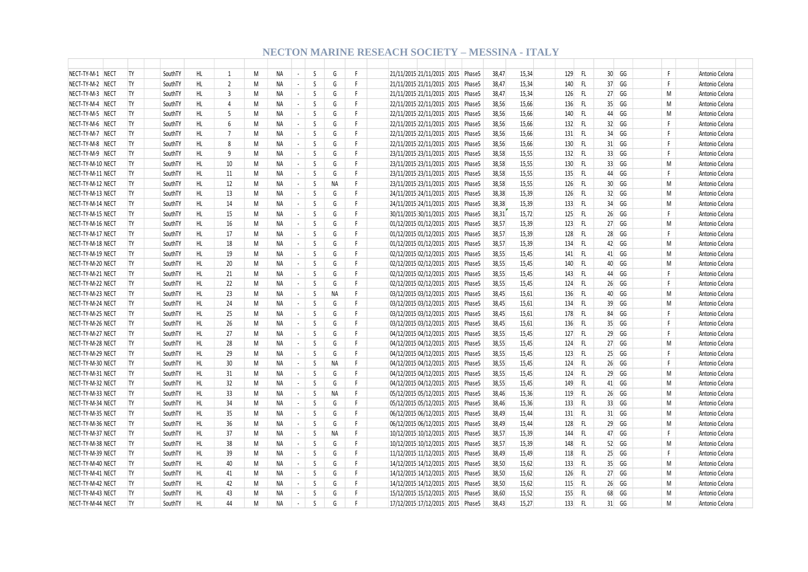| NECT-TY-M-1 NECT  | TY        | SouthTY | HL. | $\overline{1}$ | M | NA.       | $\blacksquare$              | S            | G         | F. | 21/11/2015 21/11/2015 2015 Phase5       | 38.47 | 15,34 | 129 | -FL |                 | 30 GG | F. | Antonio Celona |
|-------------------|-----------|---------|-----|----------------|---|-----------|-----------------------------|--------------|-----------|----|-----------------------------------------|-------|-------|-----|-----|-----------------|-------|----|----------------|
| NECT-TY-M-2 NECT  | TY        | SouthTY | HL  | $\overline{2}$ | M | ΝA        | $\sim$                      | S            | G         | F  | 21/11/2015 21/11/2015 2015 Phase5       | 38,47 | 15,34 | 140 | FL. |                 | 37 GG | F. | Antonio Celona |
| NECT-TY-M-3 NECT  | TY        | SouthTY | HL  | $\overline{3}$ | M | NA        | $\mathcal{L}_{\mathcal{A}}$ | S            | G         | F  | 21/11/2015 21/11/2015 2015 Phase5       | 38,47 | 15,34 | 126 | FL  | 27              | GG    | M  | Antonio Celona |
| NECT-TY-M-4 NECT  | TY        | SouthTY | HL  | $\overline{4}$ | M | NA        | $\blacksquare$              | S            | G         | F  | 22/11/2015 22/11/2015 2015 Phase5       | 38,56 | 15,66 | 136 | FL  |                 | 35 GG | M  | Antonio Celona |
| NECT-TY-M-5 NECT  | <b>TY</b> | SouthTY | HL  | 5              | M | ΝA        | $\sim$                      | S            | G         | F  | 22/11/2015 22/11/2015 2015 Phase5       | 38,56 | 15,66 | 140 | FL. | 44              | GG    | M  | Antonio Celona |
| NECT-TY-M-6 NECT  | <b>TY</b> | SouthTY | HL  | 6              | M | <b>NA</b> | $\omega$                    | S            | G         | F  | 22/11/2015 22/11/2015 2015 Phase5       | 38,56 | 15,66 | 132 | FL. | 32              | GG    | F. | Antonio Celona |
| NECT-TY-M-7 NECT  | <b>TY</b> | SouthTY | HL. | $\overline{7}$ | M | <b>NA</b> | $\omega$                    | S            | G         | F  | 22/11/2015 22/11/2015 2015 Phase5       | 38,56 | 15,66 | 131 | FL  |                 | 34 GG | F  | Antonio Celona |
| NECT-TY-M-8 NECT  | <b>TY</b> | SouthTY | HL  | 8              | M | <b>NA</b> | $\sim$                      | S            | G         | F  | 22/11/2015 22/11/2015 2015 Phase5       | 38,56 | 15,66 | 130 | FL. |                 | 31 GG | F  | Antonio Celona |
| NECT-TY-M-9 NECT  | <b>TY</b> | SouthTY | HL. | q              | M | NA        | $\sim$                      | S            | G         | F  | 23/11/2015 23/11/2015 2015 Phase5       | 38,58 | 15,55 | 132 | FL  | 33 <sup>1</sup> | GG    | F  | Antonio Celona |
| NECT-TY-M-10 NECT | <b>TY</b> | SouthTY | HL. | 10             | M | NA        | $\sim$                      | S            | G         | F  | 23/11/2015 23/11/2015 2015 Phase5       | 38,58 | 15,55 | 130 | FL. |                 | 33 GG | M  | Antonio Celona |
| NECT-TY-M-11 NECT | <b>TY</b> | SouthTY | HL  | 11             | M | <b>NA</b> | $\sim$                      | <sub>S</sub> | G         | F  | 23/11/2015 23/11/2015 2015 Phase5       | 38,58 | 15,55 | 135 | FL  | 44              | GG    | F. | Antonio Celona |
| NECT-TY-M-12 NECT | <b>TY</b> | SouthTY | HL. | 12             | M | NA.       | $\blacksquare$              | <sub>S</sub> | <b>NA</b> | F  | 23/11/2015 23/11/2015 2015 Phase5       | 38,58 | 15,55 | 126 | FL. | 30 <sup>°</sup> | GG    | M  | Antonio Celona |
| NECT-TY-M-13 NECT | <b>TY</b> | SouthTY | HL  | 13             | M | NA        | $\blacksquare$              | S            | G         | F  | 24/11/2015 24/11/2015 2015 Phase5       | 38,38 | 15,39 | 126 | FL. |                 | 32 GG | M  | Antonio Celona |
| NECT-TY-M-14 NECT | TY        | SouthTY | HL  | 14             | M | ΝA        | $\sim$                      | S            | G         | F. | 24/11/2015 24/11/2015 2015 Phase5       | 38,38 | 15,39 | 133 | FL. | 34              | GG    | M  | Antonio Celona |
| NECT-TY-M-15 NECT | TY        | SouthTY | HL  | 15             | M | ΝA        | $\blacksquare$              | S            | G         | F  | 30/11/2015 30/11/2015 2015 Phase5       | 38,31 | 15,72 | 125 | FL  | 26              | GG    | F  | Antonio Celona |
| NECT-TY-M-16 NECT | TY        | SouthTY | HL  | 16             | M | <b>NA</b> | $\overline{\phantom{a}}$    | S            | G         | F  | 01/12/2015 01/12/2015 2015 Phase5       | 38,57 | 15,39 | 123 | FL  |                 | 27 GG | M  | Antonio Celona |
| NECT-TY-M-17 NECT | <b>TY</b> | SouthTY | HL  | 17             | M | <b>NA</b> | $\sim$                      | S            | G         | F  | 01/12/2015 01/12/2015 2015 Phase5       | 38,57 | 15,39 | 128 | FL. |                 | 28 GG | F. | Antonio Celona |
| NECT-TY-M-18 NECT | <b>TY</b> | SouthTY | HL  | 18             | M | NA        | $\omega$                    | S            | G         | F  | 01/12/2015 01/12/2015 2015 Phase5       | 38,57 | 15,39 | 134 | FL  | 42              | GG    | M  | Antonio Celona |
| NECT-TY-M-19 NECT | TY        | SouthTY | HL  | 19             | M | <b>NA</b> | $\overline{\phantom{a}}$    | S            | G         | F  | 02/12/2015 02/12/2015 2015 Phase5       | 38,55 | 15,45 | 141 | FL. |                 | 41 GG | M  | Antonio Celona |
| NECT-TY-M-20 NECT | <b>TY</b> | SouthTY | HL. | 20             | M | NA        | $\sim$                      | S            | G         | F  | 02/12/2015 02/12/2015 2015 Phase5       | 38,55 | 15,45 | 140 | FL. | 40              | GG    | M  | Antonio Celona |
| NECT-TY-M-21 NECT | <b>TY</b> | SouthTY | HL. | 21             | M | NA        | $\sim$                      | S            | G         | F  | 02/12/2015 02/12/2015 2015 Phase5       | 38,55 | 15,45 | 143 | FL. | 44              | GG    | F. | Antonio Celona |
| NECT-TY-M-22 NECT | <b>TY</b> | SouthTY | HL. | 22             | M | NA        | $\blacksquare$              | S            | G         | F  | 02/12/2015 02/12/2015 2015 Phase5       | 38,55 | 15,45 | 124 | FL. |                 | 26 GG | F. | Antonio Celona |
| NECT-TY-M-23 NECT | <b>TY</b> | SouthTY | HL  | 23             | M | <b>NA</b> | $\sim$                      | S            | <b>NA</b> | F  | 03/12/2015 03/12/2015 2015 Phase5       | 38,45 | 15,61 | 136 | FL. | 40              | GG    | M  | Antonio Celona |
| NECT-TY-M-24 NECT | <b>TY</b> | SouthTY | HL. | 24             | M | <b>NA</b> | $\sim$                      | <sub>S</sub> | G         | F  | 03/12/2015 03/12/2015 2015 Phase5       | 38,45 | 15,61 | 134 | FL. | 39              | GG    | M  | Antonio Celona |
| NECT-TY-M-25 NECT | TY        | SouthTY | HL. | 25             | M | NA        | $\blacksquare$              | S            | G         | F  | 03/12/2015 03/12/2015 2015 Phase5       | 38,45 | 15,61 | 178 | FL. | 84              | GG    | F  | Antonio Celona |
| NECT-TY-M-26 NECT | TY        | SouthTY | HL  | 26             | M | ΝA        | $\sim$                      | S            | G         | F  | 03/12/2015 03/12/2015 2015 Phase5       | 38,45 | 15,61 | 136 | FL. | 35 <sup>5</sup> | GG    | F. | Antonio Celona |
| NECT-TY-M-27 NECT | <b>TY</b> | SouthTY | HL  | 27             | M | ΝA        | $\omega$                    | S            | G         | F  | 04/12/2015 04/12/2015 2015 Phase5       | 38,55 | 15,45 | 127 | FL. | 29              | GG    | F  | Antonio Celona |
| NECT-TY-M-28 NECT | TY        | SouthTY | HL  | 28             | M | <b>NA</b> | $\overline{\phantom{a}}$    | S            | G         | F  | 04/12/2015 04/12/2015 2015 Phase5       | 38,55 | 15,45 | 124 | FL. |                 | 27 GG | M  | Antonio Celona |
| NECT-TY-M-29 NECT | <b>TY</b> | SouthTY | HL  | 29             | M | <b>NA</b> | $\sim$                      | S            | G         | F  | 04/12/2015 04/12/2015 2015 Phase5       | 38,55 | 15,45 | 123 | FL. | 25              | GG    | F  | Antonio Celona |
| NECT-TY-M-30 NECT | <b>TY</b> | SouthTY | HL  | 30             | M | ΝA        | $\blacksquare$              | S            | ΝA        | F  | 04/12/2015 04/12/2015 2015 Phase5       | 38,55 | 15,45 | 124 | FL  | 26              | GG    | F  | Antonio Celona |
| NECT-TY-M-31 NECT | TY        | SouthTY | HL  | 31             | M | NA        | $\overline{\phantom{a}}$    | S            | G         | F  | 04/12/2015 04/12/2015 2015 Phase5       | 38,55 | 15,45 | 124 | FL. |                 | 29 GG | M  | Antonio Celona |
| NECT-TY-M-32 NECT | <b>TY</b> | SouthTY | HL. | 32             | M | NA        | $\sim$                      | <sub>S</sub> | G         | F  | 04/12/2015 04/12/2015 2015 Phase5       | 38,55 | 15,45 | 149 | FL. |                 | 41 GG | M  | Antonio Celona |
| NECT-TY-M-33 NECT | <b>TY</b> | SouthTY | HL. | 33             | M | NA        | $\sim$                      | S            | <b>NA</b> | F  | 05/12/2015 05/12/2015 2015 Phase5       | 38,46 | 15,36 | 119 | FL. | 26              | GG    | M  | Antonio Celona |
| NECT-TY-M-34 NECT | <b>TY</b> | SouthTY | HL  | 34             | M | NA.       | $\blacksquare$              | S            | G         | F  | 05/12/2015 05/12/2015 2015 Phase5       | 38,46 | 15,36 | 133 | FL. |                 | 33 GG | M  | Antonio Celona |
| NECT-TY-M-35 NECT | <b>TY</b> | SouthTY | HL  | 35             | M | <b>NA</b> | $\sim$                      | <sub>S</sub> | G         | F  | 06/12/2015 06/12/2015 2015 Phase5       | 38,49 | 15,44 | 131 | FL. |                 | 31 GG | M  | Antonio Celona |
| NECT-TY-M-36 NECT | TY        | SouthTY | HL  | 36             | M | NA        | $\sim$                      | <sub>S</sub> | G         | F  | 06/12/2015 06/12/2015 2015 Phase5       | 38,49 | 15,44 | 128 | FL. | 29              | GG    | M  | Antonio Celona |
| NECT-TY-M-37 NECT | TY        | SouthTY | HL  | 37             | M | NA        | $\overline{\phantom{a}}$    | S            | ΝA        | F  | 10/12/2015 10/12/2015 2015 Phase5       | 38,57 | 15,39 | 144 | FL. | 47              | GG    | F  | Antonio Celona |
| NECT-TY-M-38 NECT | TY        | SouthTY | HL  | 38             | M | ΝA        | $\sim$                      | S            | G         | F  | 10/12/2015 10/12/2015 2015 Phase5       | 38,57 | 15,39 | 148 | FL. |                 | 52 GG | M  | Antonio Celona |
| NECT-TY-M-39 NECT | <b>TY</b> | SouthTY | HL  | 39             | M | ΝA        | $\blacksquare$              | S            | G         | F  | 11/12/2015 11/12/2015 2015 Phase5       | 38,49 | 15,49 | 118 | FL  | 25              | GG    | F  | Antonio Celona |
| NECT-TY-M-40 NECT | TY        | SouthTY | HL  | 40             | M | <b>NA</b> | $\blacksquare$              | S            | G         | F  | 14/12/2015 14/12/2015 2015 Phase5       | 38,50 | 15,62 | 133 | FL. |                 | 35 GG | M  | Antonio Celona |
| NECT-TY-M-41 NECT | TY        | SouthTY | HL  | 41             | M | <b>NA</b> | $\sim$                      | S            | G         | F  | 14/12/2015   14/12/2015   2015   Phase5 | 38,50 | 15,62 | 126 | FL. |                 | 27 GG | M  | Antonio Celona |
| NECT-TY-M-42 NECT | TY        | SouthTY | HL  | 42             | M | <b>NA</b> | $\sim$                      | S            | G         | F  | 14/12/2015 14/12/2015 2015 Phase5       | 38,50 | 15,62 | 115 | FL  | 26              | GG    | M  | Antonio Celona |
| NECT-TY-M-43 NECT | TY        | SouthTY | HL. | 43             | M | NA        | $\blacksquare$              | S            | G         | F  | 15/12/2015 15/12/2015 2015 Phase5       | 38,60 | 15,52 | 155 | FL  | 68              | GG    | M  | Antonio Celona |
| NECT-TY-M-44 NECT | <b>TY</b> | SouthTY | HL  | 44             | M | <b>NA</b> | $\sim$                      | <sub>S</sub> | G         | F  | 17/12/2015 17/12/2015 2015 Phase5       | 38.43 | 15.27 | 133 | FL  |                 | 31 GG | M  | Antonio Celona |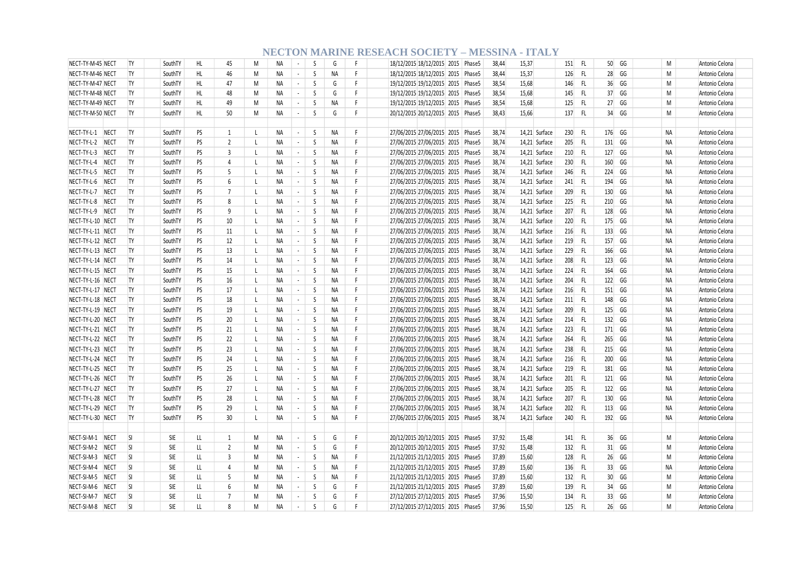| NECT-TY-M-45 NECT          | <b>TY</b>      | SouthTY    | HL  | 45               | M            | <b>NA</b> | $\sim$                      | <sub>S</sub> | G         | F.     | 18/12/2015 18/12/2015 2015 Phase5 | 38,44 | 15,37         | -FL<br>151         | $50$ GG               | M         | Antonio Celona |
|----------------------------|----------------|------------|-----|------------------|--------------|-----------|-----------------------------|--------------|-----------|--------|-----------------------------------|-------|---------------|--------------------|-----------------------|-----------|----------------|
| NECT-TY-M-46 NECT          | TY             | SouthTY    | HL  | 46               | M            | ΝA        | $\sim$                      | S            | <b>NA</b> | F      | 18/12/2015 18/12/2015 2015 Phase5 | 38,44 | 15,37         | - FL<br>126        | 28 GG                 | M         | Antonio Celona |
| NECT-TY-M-47 NECT          | TY             | SouthTY    | HL  | 47               | M            | ΝA        | $\sim$                      | S            | G         | F      | 19/12/2015 19/12/2015 2015 Phase5 | 38,54 | 15,68         | -FL<br>146         | 36<br>GG              | M         | Antonio Celona |
| NECT-TY-M-48 NECT          | <b>TY</b>      | SouthTY    | HL  | 48               | M            | <b>NA</b> | $\sim$                      | <sub>S</sub> | G         | F.     | 19/12/2015 19/12/2015 2015 Phase5 | 38,54 | 15,68         | FL.<br>145         | 37 GG                 | M         | Antonio Celona |
| NECT-TY-M-49 NECT          | <b>TY</b>      | SouthTY    | HL  | 49               | M            | <b>NA</b> | $\sim$                      | S            | <b>NA</b> | F.     | 19/12/2015 19/12/2015 2015 Phase5 | 38.54 | 15,68         | FL.<br>125         | 27 GG                 | M         | Antonio Celona |
| NECT-TY-M-50 NECT          | <b>TY</b>      | SouthTY    | HL  | 50               | M            | <b>NA</b> | $\sim$                      | S            | G         | F      | 20/12/2015 20/12/2015 2015 Phase5 | 38,43 | 15,66         | - FL<br>137        | 34 GG                 | M         | Antonio Celona |
|                            |                |            |     |                  |              |           |                             |              |           |        |                                   |       |               |                    |                       |           |                |
| NECT-TY-L-1 NECT           | TY             | SouthTY    | PS  | $\overline{1}$   | $\mathbf{I}$ | NА        | $\sim$                      | S            | NA        | F      | 27/06/2015 27/06/2015 2015 Phase5 | 38,74 | 14,21 Surface | 230<br>- FL        | 176 GG                | <b>NA</b> | Antonio Celona |
| NECT-TY-L-2 NECT           | TY             | SouthTY    | PS  | $\overline{2}$   | -L           | <b>NA</b> | $\sim$                      | S            | <b>NA</b> | F      | 27/06/2015 27/06/2015 2015 Phase5 | 38,74 | 14,21 Surface | 205<br>- FL        | 131 GG                | <b>NA</b> | Antonio Celona |
| NECT-TY-L-3 NECT           | <b>TY</b>      | SouthTY    | PS  | 3                | L            | NA        | $\sim$                      | S            | <b>NA</b> | F      | 27/06/2015 27/06/2015 2015 Phase5 | 38,74 | 14,21 Surface | - FL<br>210        | GG<br>127             | <b>NA</b> | Antonio Celona |
| NECT-TY-L-4 NECT           | <b>TY</b>      | SouthTY    | PS  | 4                | L            | NА        | $\sim$                      | S            | NA        | F      | 27/06/2015 27/06/2015 2015 Phase5 | 38,74 | 14,21 Surface | 230 FL             | 160 GG                | <b>NA</b> | Antonio Celona |
| NECT-TY-L-5 NECT           | <b>TY</b>      | SouthTY    | PS  | 5                | $\mathsf{L}$ | <b>NA</b> | $\mathcal{L}_{\mathcal{A}}$ | S            | <b>NA</b> | F      | 27/06/2015 27/06/2015 2015 Phase5 | 38,74 | 14,21 Surface | 246<br>- FL        | 224 GG                | <b>NA</b> | Antonio Celona |
| NECT-TY-L-6<br><b>NECT</b> | <b>TY</b>      | SouthTY    | PS  | 6                | L            | <b>NA</b> | $\sim$                      | S            | NA        | F      | 27/06/2015 27/06/2015 2015 Phase5 | 38,74 | 14,21 Surface | 241<br>- FL        | 194<br>GG             | <b>NA</b> | Antonio Celona |
| NECT-TY-L-7 NECT           | <b>TY</b>      | SouthTY    | PS  | $\overline{7}$   | L            | NA        | $\sim$                      | S            | <b>NA</b> | F      | 27/06/2015 27/06/2015 2015 Phase5 | 38,74 | 14,21 Surface | 209<br>- FL        | 130 GG                | <b>NA</b> | Antonio Celona |
| NECT-TY-L-8 NECT           | <b>TY</b>      | SouthTY    | PS  | 8                | -L           | <b>NA</b> | $\sim$                      | S            | <b>NA</b> | F      | 27/06/2015 27/06/2015 2015 Phase5 | 38.74 | 14,21 Surface | 225<br>- FL        | 210 GG                | <b>NA</b> | Antonio Celona |
| NECT-TY-L-9 NECT           | TY <sub></sub> | SouthTY    | PS  | 9                | L            | NA        | $\sim$                      | S            | NA        | F      | 27/06/2015 27/06/2015 2015 Phase5 | 38,74 | 14,21 Surface | 207<br>- FL        | 128 GG                | <b>NA</b> | Antonio Celona |
| NECT-TY-L-10 NECT          | <b>TY</b>      | SouthTY    | PS  | 10               | $\mathsf{L}$ | <b>NA</b> | $\sim$                      | S            | <b>NA</b> | F.     | 27/06/2015 27/06/2015 2015 Phase5 | 38,74 | 14,21 Surface | 220<br>- FL        | 175 GG                | <b>NA</b> | Antonio Celona |
| NECT-TY-L-11 NECT          | <b>TY</b>      | SouthTY    | PS  | 11               | <sup>L</sup> | NA        | $\sim$                      | S.           | <b>NA</b> | F      | 27/06/2015 27/06/2015 2015 Phase5 | 38.74 | 14,21 Surface | 216<br>- FL        | 133<br>GG             | <b>NA</b> | Antonio Celona |
| NECT-TY-L-12 NECT          | <b>TY</b>      | SouthTY    | PS  | 12               | $\mathsf{L}$ | NA        | $\sim$                      | S            | NA        | F      | 27/06/2015 27/06/2015 2015 Phase5 | 38,74 | 14,21 Surface | 219<br>- FL        | 157 GG                | <b>NA</b> | Antonio Celona |
| NECT-TY-L-13 NECT          | <b>TY</b>      | SouthTY    | PS  | 13               | $\mathsf{L}$ | <b>NA</b> | $\sim$                      | S            | <b>NA</b> | F      | 27/06/2015 27/06/2015 2015 Phase5 | 38,74 | 14,21 Surface | 229<br>- FL        | 166 GG                | <b>NA</b> | Antonio Celona |
| NECT-TY-L-14 NECT          | <b>TY</b>      | SouthTY    | PS  | 14               | -L           | NА        | $\sim$                      | S            | NA        | F      | 27/06/2015 27/06/2015 2015 Phase5 | 38,74 | 14,21 Surface | FL.<br>208         | 123 GG                | <b>NA</b> | Antonio Celona |
| NECT-TY-L-15 NECT          | <b>TY</b>      | SouthTY    | PS  | 15               | $\perp$      | <b>NA</b> | $\sim$                      | S            | <b>NA</b> | F      | 27/06/2015 27/06/2015 2015 Phase5 | 38,74 | 14,21 Surface | - FL<br>224        | 164<br>GG             | <b>NA</b> | Antonio Celona |
| NECT-TY-L-16 NECT          | <b>TY</b>      | SouthTY    | PS  | 16               | -L           | <b>NA</b> | $\sim$                      | <sub>S</sub> | <b>NA</b> | F      | 27/06/2015 27/06/2015 2015 Phase5 | 38,74 | 14,21 Surface | 204<br>- FL        | 122 GG                | <b>NA</b> | Antonio Celona |
| NECT-TY-L-17 NECT          | TY             | SouthTY    | PS  | 17               | <sup>L</sup> | <b>NA</b> | $\sim$                      | S            | NA        | F      | 27/06/2015 27/06/2015 2015 Phase5 | 38,74 | 14,21 Surface | - FL<br>216        | 151 GG                | <b>NA</b> | Antonio Celona |
| NECT-TY-L-18 NECT          | <b>TY</b>      | SouthTY    | PS  | 18               | $\mathsf{L}$ | <b>NA</b> | $\sim$                      | <sub>S</sub> | <b>NA</b> | F      | 27/06/2015 27/06/2015 2015 Phase5 | 38,74 | 14,21 Surface | 211<br>- FL        | 148 GG                | <b>NA</b> | Antonio Celona |
|                            | <b>TY</b>      | SouthTY    | PS  | 19               | $\perp$      | <b>NA</b> | $\sim$                      | <sub>S</sub> | <b>NA</b> | F      |                                   | 38.74 |               | -FL                | 125 GG                | <b>NA</b> |                |
| NECT-TY-L-19 NECT          | <b>TY</b>      |            | PS  |                  | $\mathsf{L}$ |           | $\sim$                      | S            |           | F      | 27/06/2015 27/06/2015 2015 Phase5 |       | 14,21 Surface | 209<br>214<br>- FL | 132 GG                |           | Antonio Celona |
| NECT-TY-L-20 NECT          |                | SouthTY    |     | 20               |              | NA        |                             | S            | NA        | F      | 27/06/2015 27/06/2015 2015 Phase5 | 38,74 | 14,21 Surface |                    |                       | <b>NA</b> | Antonio Celona |
| NECT-TY-L-21 NECT          | TY             | SouthTY    | PS  | 21               | <sup>L</sup> | <b>NA</b> | $\sim$                      |              | <b>NA</b> |        | 27/06/2015 27/06/2015 2015 Phase5 | 38,74 | 14,21 Surface | 223<br>- FL        | 171 GG                | <b>NA</b> | Antonio Celona |
| NECT-TY-L-22 NECT          | <b>TY</b>      | SouthTY    | PS  | 22               | -L           | NА        | $\sim$                      | S            | NA        | F<br>F | 27/06/2015 27/06/2015 2015 Phase5 | 38,74 | 14,21 Surface | 264<br>FL.         | 265 GG                | <b>NA</b> | Antonio Celona |
| NECT-TY-L-23 NECT          | <b>TY</b>      | SouthTY    | PS  | 23               | $\mathsf{L}$ | <b>NA</b> | $\sim$                      | S            | <b>NA</b> |        | 27/06/2015 27/06/2015 2015 Phase5 | 38,74 | 14,21 Surface | 238<br>-FL         | 215 GG                | <b>NA</b> | Antonio Celona |
| NECT-TY-L-24 NECT          | <b>TY</b>      | SouthTY    | PS  | 24               | $\mathsf{L}$ | <b>NA</b> | $\sim$                      | S            | <b>NA</b> | F      | 27/06/2015 27/06/2015 2015 Phase5 | 38,74 | 14,21 Surface | - FL<br>216        | GG<br>200             | <b>NA</b> | Antonio Celona |
| NECT-TY-L-25 NECT          | TY <sub></sub> | SouthTY    | PS  | 25               | L            | NА        | $\overline{\phantom{a}}$    | S            | NA        | F      | 27/06/2015 27/06/2015 2015 Phase5 | 38,74 | 14,21 Surface | - FL<br>219        | 181 GG                | <b>NA</b> | Antonio Celona |
| NECT-TY-L-26 NECT          | <b>TY</b>      | SouthTY    | PS  | 26               | $\mathsf{L}$ | <b>NA</b> | $\sim$                      | S            | <b>NA</b> | F      | 27/06/2015 27/06/2015 2015 Phase5 | 38,74 | 14,21 Surface | 201<br>- FL        | 121 GG                | <b>NA</b> | Antonio Celona |
| NECT-TY-L-27 NECT          | <b>TY</b>      | SouthTY    | PS  | 27               | -L           | NА        | $\sim$                      | S            | NA        | F      | 27/06/2015 27/06/2015 2015 Phase5 | 38,74 | 14,21 Surface | 205<br>- FL        | 122 GG                | <b>NA</b> | Antonio Celona |
| NECT-TY-L-28 NECT          | <b>TY</b>      | SouthTY    | PS  | 28               | $\mathsf{L}$ | NA        | $\sim$                      | S            | <b>NA</b> | F      | 27/06/2015 27/06/2015 2015 Phase5 | 38,74 | 14,21 Surface | 207<br>- FL        | 130 GG                | <b>NA</b> | Antonio Celona |
| NECT-TY-L-29 NECT          | TY             | SouthTY    | PS  | 29               | <sup>L</sup> | <b>NA</b> | $\sim$                      | S            | <b>NA</b> | F      | 27/06/2015 27/06/2015 2015 Phase5 | 38,74 | 14,21 Surface | 202<br>- FL        | 113 GG                | <b>NA</b> | Antonio Celona |
| NECT-TY-L-30 NECT          | TY             | SouthTY    | PS  | 30               | L            | <b>NA</b> | $\sim$                      | S            | NA        | F.     | 27/06/2015 27/06/2015 2015 Phase5 | 38,74 | 14,21 Surface | 240 FL             | 192 GG                | NA        | Antonio Celona |
|                            |                |            |     |                  |              |           |                             |              |           |        |                                   |       |               |                    |                       |           |                |
| NECT-SI-M-1 NECT           | <sup>SI</sup>  | SIE        | LL  | 1                | M            | NA        | $\sim$                      | S.           | G         | F      | 20/12/2015 20/12/2015 2015 Phase5 | 37,92 | 15,48         | - FL<br>141        | 36 GG                 | M         | Antonio Celona |
| NECT-SI-M-2<br><b>NECT</b> | <b>SI</b>      | <b>SIE</b> | LL  | $\overline{2}$   | M            | <b>NA</b> | $\sim$                      | S            | G         | F      | 20/12/2015 20/12/2015 2015 Phase5 | 37,92 | 15,48         | -FL<br>132         | 31 GG                 | M         | Antonio Celona |
| NECT-SI-M-3<br>NECT        | <b>SI</b>      | SIE        | LL. | 3                | M            | NA        | $\sim$                      | S.           | <b>NA</b> | F.     | 21/12/2015 21/12/2015 2015 Phase5 | 37,89 | 15,60         | 128<br>-FL         | $26$ GG               | M         | Antonio Celona |
| NECT-SI-M-4<br><b>NECT</b> | <sup>SI</sup>  | SIE        | LL  | 4                | M            | NА        | $\sim$                      | S            | NA        | F.     | 21/12/2015 21/12/2015 2015 Phase5 | 37,89 | 15,60         | FL.<br>136         | 33 GG                 | <b>NA</b> | Antonio Celona |
| NECT-SI-M-5 NECT           | <b>SI</b>      | <b>SIE</b> | LL. | 5                | M            | NA        | $\sim$                      | S            | NA        | F      | 21/12/2015 21/12/2015 2015 Phase5 | 37,89 | 15,60         | 132<br>- FL        | 30 <sup>°</sup><br>GG | M         | Antonio Celona |
| NECT-SI-M-6<br><b>NECT</b> | <sup>SI</sup>  | <b>SIE</b> | LL  | 6                | M            | <b>NA</b> | $\sim$                      | S            | G         | F      | 21/12/2015 21/12/2015 2015 Phase5 | 37.89 | 15,60         | FL<br>139          | 34<br>GG              | M         | Antonio Celona |
| NECT-SI-M-7<br>NECT        | <sub>SI</sub>  | <b>SIE</b> | LL  | 7                | M            | <b>NA</b> | $\sim$                      | S            | G         | F      | 27/12/2015 27/12/2015 2015 Phase5 | 37,96 | 15,50         | 134<br>-FL         | 33<br>GG              | M         | Antonio Celona |
| NECT-SI-M-8 NECT           | <sub>SI</sub>  | <b>SIE</b> | LL  | $\boldsymbol{8}$ | M            | <b>NA</b> | $\sim$                      | <sub>S</sub> | G         | F      | 27/12/2015 27/12/2015 2015 Phase5 | 37.96 | 15.50         | 125<br>-FL         | $26$ GG               | M         | Antonio Celona |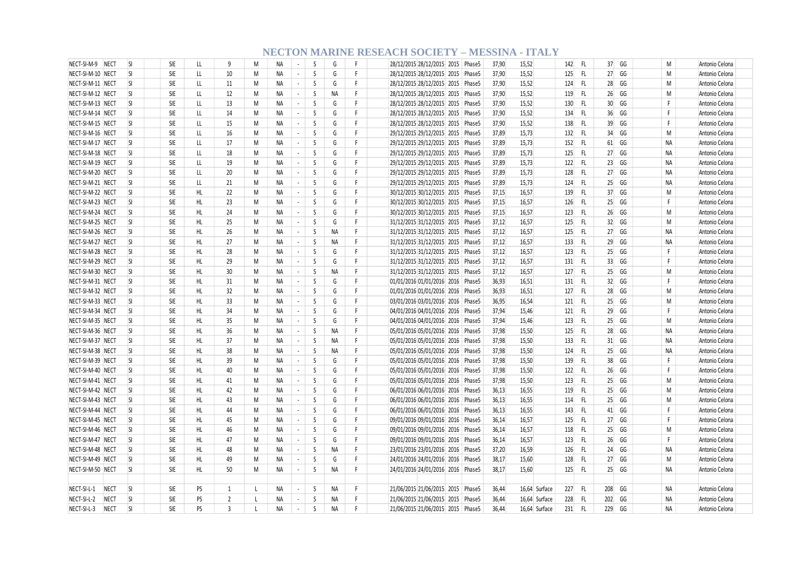| NECT-SI-M-9 NECT           | <b>SI</b>     | SIE        | LL  | 9              | M            | <b>NA</b>       | $\sim$                   | S  | G         | F. | 28/12/2015 28/12/2015 2015 Phase5                                      | 37,90 | 15,52          | 142<br>- FL                | 37 GG    | M            | Antonio Celona |
|----------------------------|---------------|------------|-----|----------------|--------------|-----------------|--------------------------|----|-----------|----|------------------------------------------------------------------------|-------|----------------|----------------------------|----------|--------------|----------------|
| NECT-SI-M-10 NECT          | <sub>SI</sub> | SIE        | LL  | 10             | M            | NA              | $\sim$                   | S  | G         | F. | 28/12/2015 28/12/2015 2015 Phase5                                      | 37,90 | 15,52          | FL.<br>125                 | 27 GG    | M            | Antonio Celona |
| NECT-SI-M-11 NECT          | <sup>SI</sup> | SIE        | LL  | 11             | M            | ΝA              | $\blacksquare$           | S  | G         | F. | 28/12/2015 28/12/2015 2015 Phase5                                      | 37,90 | 15,52          | FL.<br>124                 | 28 GG    | M            | Antonio Celona |
| NECT-SI-M-12 NECT          | <b>SI</b>     | SIE        | LL  | 12             | M            | ΝA              | $\sim$                   | S  | NA        | F. | 28/12/2015 28/12/2015 2015 Phase5                                      | 37,90 | 15,52          | 119<br>-FL                 | 26 GG    | M            | Antonio Celona |
| NECT-SI-M-13 NECT          | $\mathsf{S}$  | <b>SIE</b> | LL  | 13             | M            | <b>NA</b>       | $\sim$                   | S  | G         | F. | 28/12/2015 28/12/2015 2015 Phase5                                      | 37,90 | 15,52          | FL.<br>130                 | 30 GG    | F            | Antonio Celona |
| NECT-SI-M-14 NECT          | <b>SI</b>     | SIE        | LL  | 14             | M            | NA              | $\sim$                   | S  | G         | F. | 28/12/2015 28/12/2015 2015 Phase5                                      | 37,90 | 15,52          | FL.<br>134                 | 36 GG    | F            | Antonio Celona |
| NECT-SI-M-15 NECT          | $\mathsf{S}$  | SIE        | LL  | 15             | M            | <b>NA</b>       | $\sim$                   | S  | G         | F. | 28/12/2015 28/12/2015 2015 Phase5                                      | 37,90 | 15,52          | 138<br>FL.                 | 39<br>GG | F            | Antonio Celona |
| NECT-SI-M-16 NECT          | <sup>SI</sup> | SIE        | LL. | 16             | M            | ΝA              | $\sim$                   | S  | G         | F  | 29/12/2015 29/12/2015 2015 Phase5                                      | 37,89 | 15,73          | - FL<br>132                | 34 GG    | M            | Antonio Celona |
| NECT-SI-M-17 NECT          | $\mathsf{S}$  | <b>SIE</b> | LL  | 17             | M            | <b>NA</b>       | $\sim$                   | S  | G         | F  | 29/12/2015 29/12/2015 2015 Phase5                                      | 37,89 | 15,73          | 152<br>FL.                 | 61 GG    | <b>NA</b>    | Antonio Celona |
| NECT-SI-M-18 NECT          | <sup>SI</sup> | SIE        | LL  | 18             | M            | ΝA              | $\sim$                   | S  | G         | F. | 29/12/2015 29/12/2015 2015 Phase5                                      | 37,89 | 15,73          | $\mathsf{FL}$<br>125       | 27 GG    | <b>NA</b>    | Antonio Celona |
| NECT-SI-M-19 NECT          | <sup>SI</sup> | <b>SIE</b> | LL  | 19             | M            | <b>NA</b>       | $\sim$                   | S  | G         | F. | 29/12/2015 29/12/2015 2015 Phase5                                      | 37,89 | 15,73          | 122<br>- FL                | 23 GG    | <b>NA</b>    | Antonio Celona |
| NECT-SI-M-20 NECT          | $\mathsf{S}$  | SIE        | LL. | 20             | M            | <b>NA</b>       | $\blacksquare$           | S  | G         | F. | 29/12/2015 29/12/2015 2015 Phase5                                      | 37,89 | 15,73          | FL.<br>128                 | 27 GG    | <b>NA</b>    | Antonio Celona |
| NECT-SI-M-21 NECT          | $\mathsf{S}$  | SIE        | LL  | 21             | M            | <b>NA</b>       | $\sim$                   | S. | G         | F. | 29/12/2015 29/12/2015 2015 Phase5                                      | 37,89 | 15,73          | FL<br>124                  | 25 GG    | <b>NA</b>    | Antonio Celona |
| NECT-SI-M-22 NECT          | <b>SI</b>     | SIE        | HL  | 22             | M            | NA              | $\blacksquare$           | S  | G         | F. | 30/12/2015 30/12/2015 2015 Phase5                                      | 37,15 | 16,57          | FL<br>139                  | 37 GG    | M            | Antonio Celona |
| NECT-SI-M-23 NECT          | $\mathsf{S}$  | <b>SIE</b> | HL  | 23             | M            | <b>NA</b>       | $\blacksquare$           | S  | G         | F. | 30/12/2015 30/12/2015 2015 Phase5                                      | 37,15 | 16,57          | FL<br>126                  | 25<br>GG | $\mathsf{F}$ | Antonio Celona |
| NECT-SI-M-24 NECT          | <sup>SI</sup> | SIE        | HL  | 24             | M            | ΝA              | $\blacksquare$           | S  | G         | F  | 30/12/2015 30/12/2015 2015 Phase5                                      | 37,15 | 16,57          | FL.<br>123                 | 26 GG    | M            | Antonio Celona |
| NECT-SI-M-25 NECT          | $\mathsf{S}$  | SIE        | HL  | 25             | M            | <b>NA</b>       | $\sim$                   | S  | G         | F. | 31/12/2015 31/12/2015 2015 Phase5                                      | 37,12 | 16,57          | FL<br>125                  | 32 GG    | M            | Antonio Celona |
| NECT-SI-M-26 NECT          | $\mathsf{S}$  | <b>SIE</b> | HL  | 26             | M            | ΝA              | $\sim$                   | S  | <b>NA</b> | F. | 31/12/2015 31/12/2015 2015 Phase5                                      | 37,12 | 16,57          | FL.<br>125                 | 27 GG    | <b>NA</b>    | Antonio Celona |
| NECT-SI-M-27 NECT          | <sup>SI</sup> | <b>SIE</b> | HL  | 27             | M            | <b>NA</b>       | $\sim$                   | S  | <b>NA</b> | F. | 31/12/2015 31/12/2015 2015 Phase5                                      | 37,12 | 16,57          | FL<br>133                  | 29 GG    | <b>NA</b>    | Antonio Celona |
| NECT-SI-M-28 NECT          | <sup>SI</sup> | SIE        | HL  | 28             | M            | <b>NA</b>       | $\blacksquare$           | S  | G         | F. | 31/12/2015 31/12/2015 2015 Phase5                                      | 37,12 | 16,57          | FL.<br>123                 | 25<br>GG | F            | Antonio Celona |
| NECT-SI-M-29 NECT          | $\mathsf{S}$  | SIE        | HL  | 29             | M            | <b>NA</b>       | $\sim$                   | S  | G         | F. | 31/12/2015 31/12/2015 2015 Phase5                                      | 37,12 | 16,57          | FL.<br>131                 | 33 GG    | $\mathsf{F}$ | Antonio Celona |
| NECT-SI-M-30 NECT          | $\mathsf{S}$  | <b>SIE</b> | HL  | 30             | M            | NA              | $\blacksquare$           | S. | <b>NA</b> | F. | 31/12/2015 31/12/2015 2015 Phase5                                      | 37,12 | 16,57          | FL.<br>127                 | $25$ GG  | M            | Antonio Celona |
| NECT-SI-M-31 NECT          | $\mathsf{S}$  | SIE        | HL  | 31             | M            | <b>NA</b>       | $\sim$                   | S  | G         | F. | 01/01/2016 01/01/2016 2016 Phase5                                      | 36,93 | 16,51          | FL<br>131                  | 32 GG    | $\mathsf{F}$ | Antonio Celona |
| NECT-SI-M-32 NECT          | <sup>SI</sup> | SIE        | HL  | 32             | M            |                 | $\overline{\phantom{a}}$ | S  | G         | F. |                                                                        | 36,93 |                | FL.<br>127                 | 28 GG    | M            | Antonio Celona |
| NECT-SI-M-33 NECT          | $\mathsf{S}$  | SIE        | HL  | 33             | M            | ΝA<br><b>NA</b> | $\sim$                   | S  | G         | F. | 01/01/2016 01/01/2016 2016 Phase5<br>03/01/2016 03/01/2016 2016 Phase5 | 36,95 | 16,51<br>16,54 | 121<br>FL.                 | 25 GG    | M            |                |
|                            | <sup>SI</sup> |            |     |                |              |                 |                          |    |           | F. |                                                                        |       |                |                            |          |              | Antonio Celona |
| NECT-SI-M-34 NECT          | <sup>SI</sup> | <b>SIE</b> | HL  | 34             | M            | NA              | $\blacksquare$           | S  | G         | F. | 04/01/2016 04/01/2016 2016 Phase5                                      | 37,94 | 15,46          | $\mathsf{FL}$<br>121<br>FL | 29 GG    | $\mathsf{F}$ | Antonio Celona |
| NECT-SI-M-35 NECT          |               | SIE        | HL  | 35             | M            | <b>NA</b>       | $\sim$                   | S  | G         |    | 04/01/2016 04/01/2016 2016 Phase5                                      | 37,94 | 15,46          | 123                        | 25<br>GG | M            | Antonio Celona |
| NECT-SI-M-36 NECT          | <sup>SI</sup> | <b>SIE</b> | HL  | 36             | M            | <b>NA</b>       | $\sim$                   | S  | <b>NA</b> | F. | 05/01/2016 05/01/2016 2016 Phase5                                      | 37,98 | 15,50          | FL.<br>125                 | 28<br>GG | <b>NA</b>    | Antonio Celona |
| NECT-SI-M-37 NECT          | $\mathsf{S}$  | SIE        | HL  | 37             | M            | <b>NA</b>       | $\sim$                   | S  | NA        | F. | 05/01/2016 05/01/2016 2016 Phase5                                      | 37,98 | 15,50          | FL<br>133                  | 31 GG    | <b>NA</b>    | Antonio Celona |
| NECT-SI-M-38 NECT          | $\mathsf{S}$  | SIE        | HL  | 38             | M            | NA              | $\blacksquare$           | S. | NA        | F. | 05/01/2016 05/01/2016 2016 Phase5                                      | 37,98 | 15,50          | FL<br>124                  | 25 GG    | <b>NA</b>    | Antonio Celona |
| NECT-SI-M-39 NECT          | <b>SI</b>     | SIE        | HL  | 39             | M            | <b>NA</b>       | $\sim$                   | S  | G         | F. | 05/01/2016 05/01/2016 2016 Phase5                                      | 37,98 | 15,50          | FL.<br>139                 | GG<br>38 | F            | Antonio Celona |
| NECT-SI-M-40 NECT          | <sup>SI</sup> | <b>SIE</b> | HL  | 40             | M            | <b>NA</b>       | $\sim$                   | S  | G         | F. | 05/01/2016 05/01/2016 2016 Phase5                                      | 37,98 | 15,50          | FL.<br>122                 | 26 GG    | $\mathsf{F}$ | Antonio Celona |
| NECT-SI-M-41 NECT          | $\mathsf{S}$  | SIE        | HL  | 41             | M            | <b>NA</b>       | $\sim$                   | S  | G         | F. | 05/01/2016 05/01/2016 2016 Phase5                                      | 37,98 | 15,50          | FL.<br>123                 | 25 GG    | M            | Antonio Celona |
| NECT-SI-M-42 NECT          | <sup>SI</sup> | <b>SIE</b> | HL  | 42             | M            | <b>NA</b>       | $\omega$                 | S  | G         | F. | 06/01/2016 06/01/2016 2016 Phase5                                      | 36,13 | 16,55          | $\mathsf{FL}$<br>119       | 25 GG    | M            | Antonio Celona |
| NECT-SI-M-43 NECT          | <b>SI</b>     | SIE        | HL  | 43             | M            | <b>NA</b>       | $\sim$                   | S  | G         | F. | 06/01/2016 06/01/2016 2016 Phase5                                      | 36,13 | 16,55          | FL.<br>114                 | 25<br>GG | M            | Antonio Celona |
| NECT-SI-M-44 NECT          | $\mathsf{S}$  | SIE        | HL  | 44             | M            | <b>NA</b>       | $\blacksquare$           | S  | G         | F. | 06/01/2016 06/01/2016 2016 Phase5                                      | 36,13 | 16,55          | FL.<br>143                 | 41 GG    | F.           | Antonio Celona |
| NECT-SI-M-45 NECT          | <sup>SI</sup> | SIE        | HL  | 45             | M            | ΝA              | $\sim$                   | S  | G         | F. | 09/01/2016 09/01/2016 2016 Phase5                                      | 36,14 | 16,57          | 125<br>FL.                 | 27 GG    | F.           | Antonio Celona |
| NECT-SI-M-46 NECT          | $\mathsf{S}$  | SIE        | HL  | 46             | M            | NA              | $\sim$                   | S  | G         | F. | 09/01/2016 09/01/2016 2016 Phase5                                      | 36,14 | 16,57          | FL.<br>118                 | 25 GG    | M            | Antonio Celona |
| NECT-SI-M-47 NECT          | <sub>SI</sub> | SIE        | HL  | 47             | M            | ΝA              | $\sim$                   | S  | G         | F. | 09/01/2016 09/01/2016 2016 Phase5                                      | 36,14 | 16,57          | FL.<br>123                 | 26<br>GG | F            | Antonio Celona |
| NECT-SI-M-48 NECT          | <sup>SI</sup> | SIE        | HL  | 48             | M            | ΝA              | $\blacksquare$           | S  | NA        | F. | 23/01/2016 23/01/2016 2016 Phase5                                      | 37,20 | 16,59          | FL.<br>126                 | 24<br>GG | <b>NA</b>    | Antonio Celona |
| NECT-SI-M-49 NECT          | <b>SI</b>     | SIE        | HL  | 49             | M            | ΝA              | $\sim$                   | S  | G         | F  | 24/01/2016 24/01/2016 2016 Phase5                                      | 38,17 | 15,60          | 128<br>-FL                 | 27 GG    | M            | Antonio Celona |
| NECT-SI-M-50 NECT          | <b>SI</b>     | <b>SIE</b> | HL  | 50             | M            | ΝA              | $\sim$                   | S  | <b>NA</b> | F. | 24/01/2016 24/01/2016 2016 Phase5                                      | 38,17 | 15,60          | - FL<br>125                | $25$ GG  | <b>NA</b>    | Antonio Celona |
|                            |               |            |     |                |              |                 |                          |    |           |    |                                                                        |       |                |                            |          |              |                |
| NECT-SI-L-1<br><b>NECT</b> | $\mathsf{S}$  | SIE        | PS  | 1              | -L           | NA              | $\blacksquare$           | S  | NA        | F. | 21/06/2015 21/06/2015 2015 Phase5                                      | 36,44 | 16,64 Surface  | 227<br>FL                  | 208 GG   | <b>NA</b>    | Antonio Celona |
| NECT-SI-L-2<br><b>NECT</b> | <sup>SI</sup> | SIE        | PS  | $\overline{2}$ | -L           | <b>NA</b>       | $\sim$                   | S  | NA        | F. | 21/06/2015 21/06/2015 2015 Phase5                                      | 36,44 | 16,64 Surface  | 228<br>- FL                | 202 GG   | <b>NA</b>    | Antonio Celona |
| NECT-SI-L-3<br><b>NECT</b> | SI            | <b>SIE</b> | PS  | $\overline{3}$ | $\mathbf{I}$ | <b>NA</b>       | $\sim$                   | S  | <b>NA</b> | F. | 21/06/2015 21/06/2015 2015 Phase5                                      | 36.44 | 16.64 Surface  | 231<br>- FL                | 229 GG   | <b>NA</b>    | Antonio Celona |